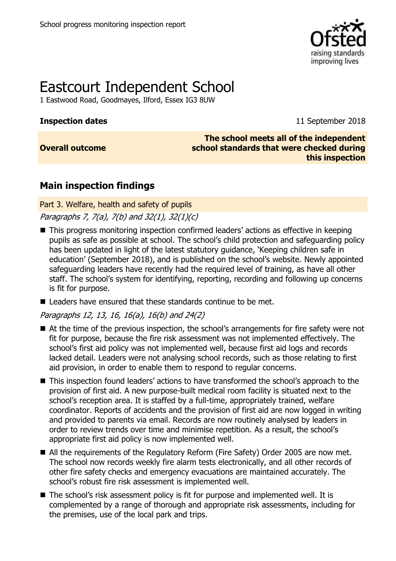

# Eastcourt Independent School

1 Eastwood Road, Goodmayes, Ilford, Essex IG3 8UW

**Inspection dates** 11 September 2018

**Overall outcome**

**The school meets all of the independent school standards that were checked during this inspection**

## **Main inspection findings**

Part 3. Welfare, health and safety of pupils

Paragraphs 7, 7(a), 7(b) and 32(1), 32(1)(c)

- This progress monitoring inspection confirmed leaders' actions as effective in keeping pupils as safe as possible at school. The school's child protection and safeguarding policy has been updated in light of the latest statutory guidance, 'Keeping children safe in education' (September 2018), and is published on the school's website. Newly appointed safeguarding leaders have recently had the required level of training, as have all other staff. The school's system for identifying, reporting, recording and following up concerns is fit for purpose.
- $\blacksquare$  Leaders have ensured that these standards continue to be met.

Paragraphs 12, 13, 16, 16(a), 16(b) and 24(2)

- At the time of the previous inspection, the school's arrangements for fire safety were not fit for purpose, because the fire risk assessment was not implemented effectively. The school's first aid policy was not implemented well, because first aid logs and records lacked detail. Leaders were not analysing school records, such as those relating to first aid provision, in order to enable them to respond to regular concerns.
- This inspection found leaders' actions to have transformed the school's approach to the provision of first aid. A new purpose-built medical room facility is situated next to the school's reception area. It is staffed by a full-time, appropriately trained, welfare coordinator. Reports of accidents and the provision of first aid are now logged in writing and provided to parents via email. Records are now routinely analysed by leaders in order to review trends over time and minimise repetition. As a result, the school's appropriate first aid policy is now implemented well.
- All the requirements of the Regulatory Reform (Fire Safety) Order 2005 are now met. The school now records weekly fire alarm tests electronically, and all other records of other fire safety checks and emergency evacuations are maintained accurately. The school's robust fire risk assessment is implemented well.
- The school's risk assessment policy is fit for purpose and implemented well. It is complemented by a range of thorough and appropriate risk assessments, including for the premises, use of the local park and trips.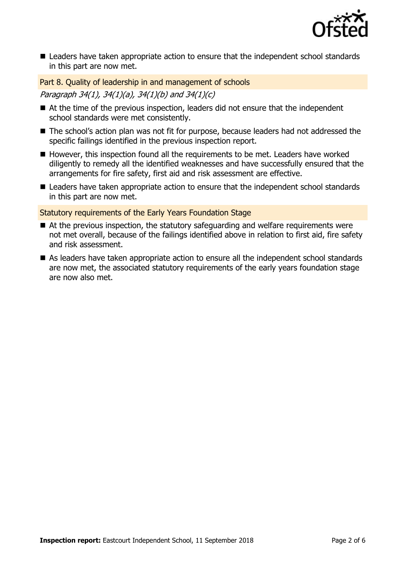

■ Leaders have taken appropriate action to ensure that the independent school standards in this part are now met.

Part 8. Quality of leadership in and management of schools Paragraph 34(1), 34(1)(a), 34(1)(b) and 34(1)(c)

- At the time of the previous inspection, leaders did not ensure that the independent school standards were met consistently.
- The school's action plan was not fit for purpose, because leaders had not addressed the specific failings identified in the previous inspection report.
- However, this inspection found all the requirements to be met. Leaders have worked diligently to remedy all the identified weaknesses and have successfully ensured that the arrangements for fire safety, first aid and risk assessment are effective.
- Leaders have taken appropriate action to ensure that the independent school standards in this part are now met.

Statutory requirements of the Early Years Foundation Stage

- At the previous inspection, the statutory safeguarding and welfare requirements were not met overall, because of the failings identified above in relation to first aid, fire safety and risk assessment.
- As leaders have taken appropriate action to ensure all the independent school standards are now met, the associated statutory requirements of the early years foundation stage are now also met.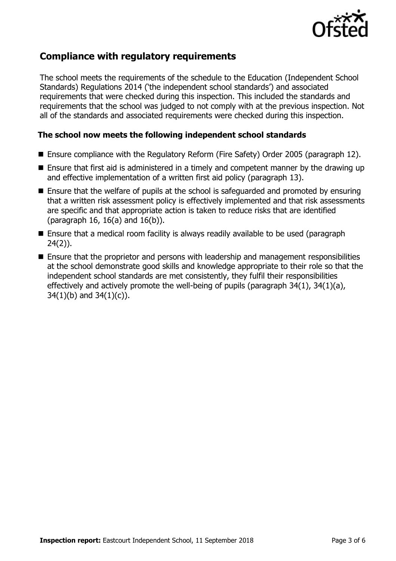

## **Compliance with regulatory requirements**

The school meets the requirements of the schedule to the Education (Independent School Standards) Regulations 2014 ('the independent school standards') and associated requirements that were checked during this inspection. This included the standards and requirements that the school was judged to not comply with at the previous inspection. Not all of the standards and associated requirements were checked during this inspection.

#### **The school now meets the following independent school standards**

- Ensure compliance with the Regulatory Reform (Fire Safety) Order 2005 (paragraph 12).
- Ensure that first aid is administered in a timely and competent manner by the drawing up and effective implementation of a written first aid policy (paragraph 13).
- Ensure that the welfare of pupils at the school is safeguarded and promoted by ensuring that a written risk assessment policy is effectively implemented and that risk assessments are specific and that appropriate action is taken to reduce risks that are identified (paragraph 16, 16(a) and 16(b)).
- Ensure that a medical room facility is always readily available to be used (paragraph 24(2)).
- **Ensure that the proprietor and persons with leadership and management responsibilities** at the school demonstrate good skills and knowledge appropriate to their role so that the independent school standards are met consistently, they fulfil their responsibilities effectively and actively promote the well-being of pupils (paragraph 34(1), 34(1)(a),  $34(1)(b)$  and  $34(1)(c)$ ).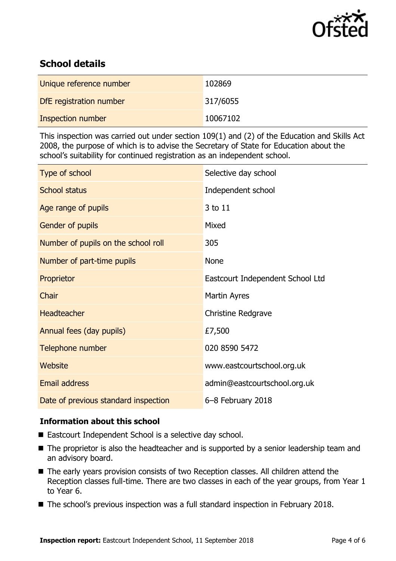

## **School details**

| Unique reference number | 102869   |
|-------------------------|----------|
| DfE registration number | 317/6055 |
| Inspection number       | 10067102 |

This inspection was carried out under section 109(1) and (2) of the Education and Skills Act 2008, the purpose of which is to advise the Secretary of State for Education about the school's suitability for continued registration as an independent school.

| Type of school                      | Selective day school             |
|-------------------------------------|----------------------------------|
| <b>School status</b>                | Independent school               |
| Age range of pupils                 | 3 to 11                          |
| Gender of pupils                    | Mixed                            |
| Number of pupils on the school roll | 305                              |
| Number of part-time pupils          | <b>None</b>                      |
| Proprietor                          | Eastcourt Independent School Ltd |
| Chair                               | Martin Ayres                     |
| <b>Headteacher</b>                  | <b>Christine Redgrave</b>        |
| Annual fees (day pupils)            | £7,500                           |
| Telephone number                    | 020 8590 5472                    |
| Website                             | www.eastcourtschool.org.uk       |
|                                     |                                  |
| <b>Email address</b>                | admin@eastcourtschool.org.uk     |

### **Information about this school**

- Eastcourt Independent School is a selective day school.
- The proprietor is also the headteacher and is supported by a senior leadership team and an advisory board.
- The early years provision consists of two Reception classes. All children attend the Reception classes full-time. There are two classes in each of the year groups, from Year 1 to Year 6.
- The school's previous inspection was a full standard inspection in February 2018.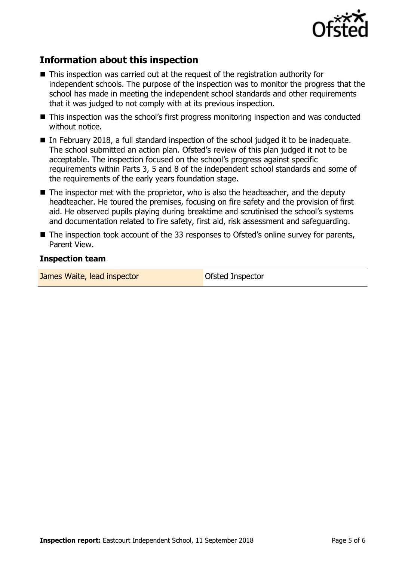

## **Information about this inspection**

- This inspection was carried out at the request of the registration authority for independent schools. The purpose of the inspection was to monitor the progress that the school has made in meeting the independent school standards and other requirements that it was judged to not comply with at its previous inspection.
- This inspection was the school's first progress monitoring inspection and was conducted without notice.
- In February 2018, a full standard inspection of the school judged it to be inadequate. The school submitted an action plan. Ofsted's review of this plan judged it not to be acceptable. The inspection focused on the school's progress against specific requirements within Parts 3, 5 and 8 of the independent school standards and some of the requirements of the early years foundation stage.
- $\blacksquare$  The inspector met with the proprietor, who is also the headteacher, and the deputy headteacher. He toured the premises, focusing on fire safety and the provision of first aid. He observed pupils playing during breaktime and scrutinised the school's systems and documentation related to fire safety, first aid, risk assessment and safeguarding.
- The inspection took account of the 33 responses to Ofsted's online survey for parents, Parent View.

#### **Inspection team**

James Waite, lead inspector **Constanting Constanting Constanting Constanting Constanting Constanting Constanting Constanting Constanting Constanting Constanting Constanting Constanting Constanting Constanting Constanting C**